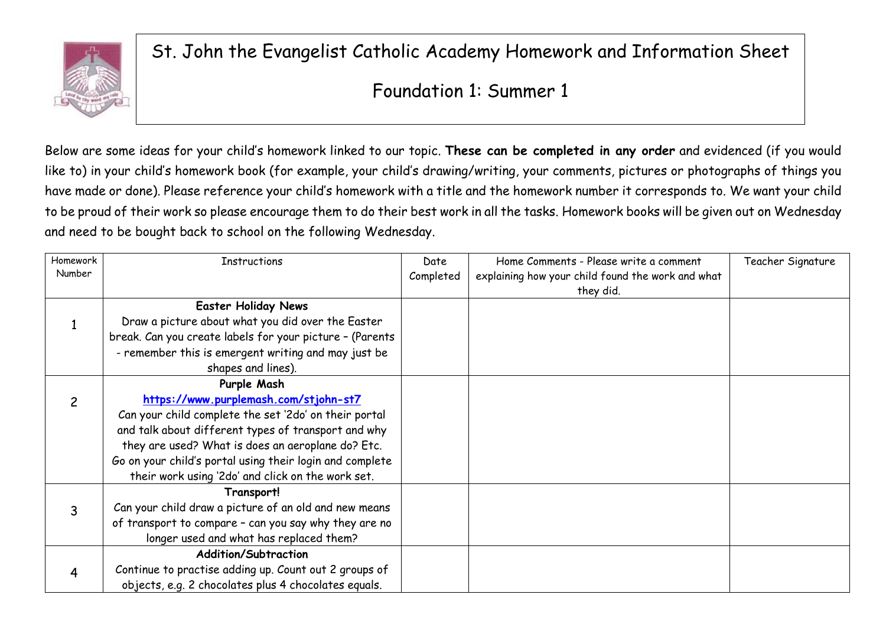

St. John the Evangelist Catholic Academy Homework and Information Sheet

## Foundation 1: Summer 1

Below are some ideas for your child's homework linked to our topic. **These can be completed in any order** and evidenced (if you would like to) in your child's homework book (for example, your child's drawing/writing, your comments, pictures or photographs of things you have made or done). Please reference your child's homework with a title and the homework number it corresponds to. We want your child to be proud of their work so please encourage them to do their best work in all the tasks. Homework books will be given out on Wednesday and need to be bought back to school on the following Wednesday.

| Homework | <b>Instructions</b>                                      | Date      | Home Comments - Please write a comment            | Teacher Signature |
|----------|----------------------------------------------------------|-----------|---------------------------------------------------|-------------------|
| Number   |                                                          | Completed | explaining how your child found the work and what |                   |
|          |                                                          |           | they did.                                         |                   |
|          | <b>Easter Holiday News</b>                               |           |                                                   |                   |
|          | Draw a picture about what you did over the Easter        |           |                                                   |                   |
|          | break. Can you create labels for your picture - (Parents |           |                                                   |                   |
|          | - remember this is emergent writing and may just be      |           |                                                   |                   |
|          | shapes and lines).                                       |           |                                                   |                   |
|          | Purple Mash                                              |           |                                                   |                   |
| 2        | https://www.purplemash.com/stjohn-st7                    |           |                                                   |                   |
|          | Can your child complete the set '2do' on their portal    |           |                                                   |                   |
|          | and talk about different types of transport and why      |           |                                                   |                   |
|          | they are used? What is does an aeroplane do? Etc.        |           |                                                   |                   |
|          | Go on your child's portal using their login and complete |           |                                                   |                   |
|          | their work using '2do' and click on the work set.        |           |                                                   |                   |
|          | Transport!                                               |           |                                                   |                   |
| 3        | Can your child draw a picture of an old and new means    |           |                                                   |                   |
|          | of transport to compare - can you say why they are no    |           |                                                   |                   |
|          | longer used and what has replaced them?                  |           |                                                   |                   |
|          | <b>Addition/Subtraction</b>                              |           |                                                   |                   |
| 4        | Continue to practise adding up. Count out 2 groups of    |           |                                                   |                   |
|          | objects, e.g. 2 chocolates plus 4 chocolates equals.     |           |                                                   |                   |